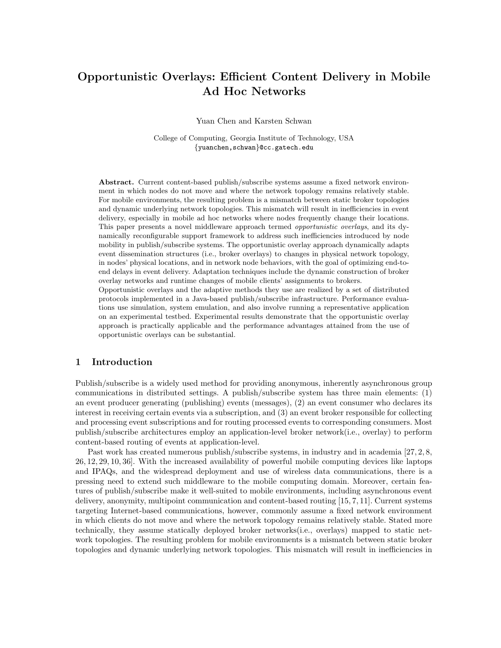# Opportunistic Overlays: Efficient Content Delivery in Mobile Ad Hoc Networks

Yuan Chen and Karsten Schwan

College of Computing, Georgia Institute of Technology, USA {yuanchen,schwan}@cc.gatech.edu

Abstract. Current content-based publish/subscribe systems assume a fixed network environment in which nodes do not move and where the network topology remains relatively stable. For mobile environments, the resulting problem is a mismatch between static broker topologies and dynamic underlying network topologies. This mismatch will result in inefficiencies in event delivery, especially in mobile ad hoc networks where nodes frequently change their locations. This paper presents a novel middleware approach termed opportunistic overlays, and its dynamically reconfigurable support framework to address such inefficiencies introduced by node mobility in publish/subscribe systems. The opportunistic overlay approach dynamically adapts event dissemination structures (i.e., broker overlays) to changes in physical network topology, in nodes' physical locations, and in network node behaviors, with the goal of optimizing end-toend delays in event delivery. Adaptation techniques include the dynamic construction of broker overlay networks and runtime changes of mobile clients' assignments to brokers.

Opportunistic overlays and the adaptive methods they use are realized by a set of distributed protocols implemented in a Java-based publish/subscribe infrastructure. Performance evaluations use simulation, system emulation, and also involve running a representative application on an experimental testbed. Experimental results demonstrate that the opportunistic overlay approach is practically applicable and the performance advantages attained from the use of opportunistic overlays can be substantial.

# 1 Introduction

Publish/subscribe is a widely used method for providing anonymous, inherently asynchronous group communications in distributed settings. A publish/subscribe system has three main elements: (1) an event producer generating (publishing) events (messages), (2) an event consumer who declares its interest in receiving certain events via a subscription, and (3) an event broker responsible for collecting and processing event subscriptions and for routing processed events to corresponding consumers. Most publish/subscribe architectures employ an application-level broker network(i.e., overlay) to perform content-based routing of events at application-level.

Past work has created numerous publish/subscribe systems, in industry and in academia [27, 2, 8, 26, 12, 29, 10, 36]. With the increased availability of powerful mobile computing devices like laptops and IPAQs, and the widespread deployment and use of wireless data communications, there is a pressing need to extend such middleware to the mobile computing domain. Moreover, certain features of publish/subscribe make it well-suited to mobile environments, including asynchronous event delivery, anonymity, multipoint communication and content-based routing [15, 7, 11]. Current systems targeting Internet-based communications, however, commonly assume a fixed network environment in which clients do not move and where the network topology remains relatively stable. Stated more technically, they assume statically deployed broker networks(i.e., overlays) mapped to static network topologies. The resulting problem for mobile environments is a mismatch between static broker topologies and dynamic underlying network topologies. This mismatch will result in inefficiencies in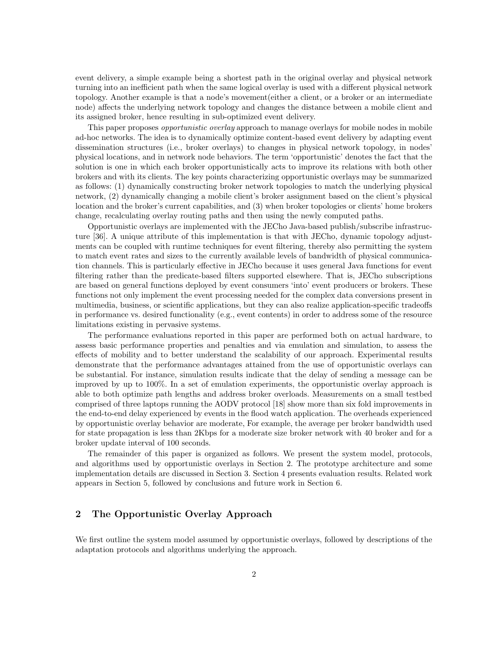event delivery, a simple example being a shortest path in the original overlay and physical network turning into an inefficient path when the same logical overlay is used with a different physical network topology. Another example is that a node's movement(either a client, or a broker or an intermediate node) affects the underlying network topology and changes the distance between a mobile client and its assigned broker, hence resulting in sub-optimized event delivery.

This paper proposes opportunistic overlay approach to manage overlays for mobile nodes in mobile ad-hoc networks. The idea is to dynamically optimize content-based event delivery by adapting event dissemination structures (i.e., broker overlays) to changes in physical network topology, in nodes' physical locations, and in network node behaviors. The term 'opportunistic' denotes the fact that the solution is one in which each broker opportunistically acts to improve its relations with both other brokers and with its clients. The key points characterizing opportunistic overlays may be summarized as follows: (1) dynamically constructing broker network topologies to match the underlying physical network, (2) dynamically changing a mobile client's broker assignment based on the client's physical location and the broker's current capabilities, and (3) when broker topologies or clients' home brokers change, recalculating overlay routing paths and then using the newly computed paths.

Opportunistic overlays are implemented with the JECho Java-based publish/subscribe infrastructure [36]. A unique attribute of this implementation is that with JECho, dynamic topology adjustments can be coupled with runtime techniques for event filtering, thereby also permitting the system to match event rates and sizes to the currently available levels of bandwidth of physical communication channels. This is particularly effective in JECho because it uses general Java functions for event filtering rather than the predicate-based filters supported elsewhere. That is, JECho subscriptions are based on general functions deployed by event consumers 'into' event producers or brokers. These functions not only implement the event processing needed for the complex data conversions present in multimedia, business, or scientific applications, but they can also realize application-specific tradeoffs in performance vs. desired functionality (e.g., event contents) in order to address some of the resource limitations existing in pervasive systems.

The performance evaluations reported in this paper are performed both on actual hardware, to assess basic performance properties and penalties and via emulation and simulation, to assess the effects of mobility and to better understand the scalability of our approach. Experimental results demonstrate that the performance advantages attained from the use of opportunistic overlays can be substantial. For instance, simulation results indicate that the delay of sending a message can be improved by up to 100%. In a set of emulation experiments, the opportunistic overlay approach is able to both optimize path lengths and address broker overloads. Measurements on a small testbed comprised of three laptops running the AODV protocol [18] show more than six fold improvements in the end-to-end delay experienced by events in the flood watch application. The overheads experienced by opportunistic overlay behavior are moderate, For example, the average per broker bandwidth used for state propagation is less than 2Kbps for a moderate size broker network with 40 broker and for a broker update interval of 100 seconds.

The remainder of this paper is organized as follows. We present the system model, protocols, and algorithms used by opportunistic overlays in Section 2. The prototype architecture and some implementation details are discussed in Section 3. Section 4 presents evaluation results. Related work appears in Section 5, followed by conclusions and future work in Section 6.

# 2 The Opportunistic Overlay Approach

We first outline the system model assumed by opportunistic overlays, followed by descriptions of the adaptation protocols and algorithms underlying the approach.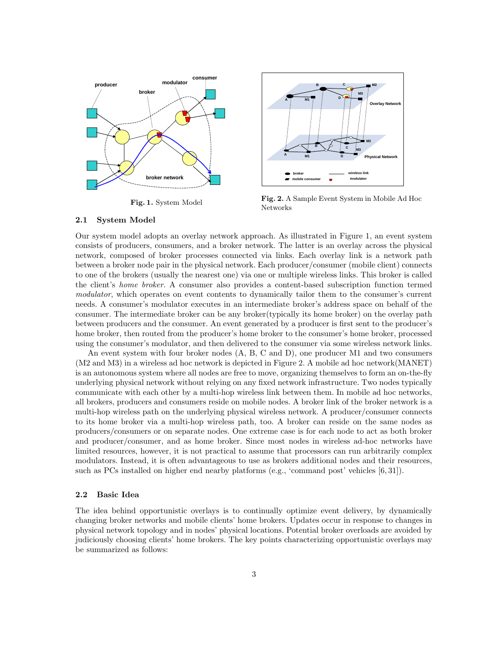

Fig. 1. System Model



Fig. 2. A Sample Event System in Mobile Ad Hoc Networks

#### 2.1 System Model

Our system model adopts an overlay network approach. As illustrated in Figure 1, an event system consists of producers, consumers, and a broker network. The latter is an overlay across the physical network, composed of broker processes connected via links. Each overlay link is a network path between a broker node pair in the physical network. Each producer/consumer (mobile client) connects to one of the brokers (usually the nearest one) via one or multiple wireless links. This broker is called the client's home broker. A consumer also provides a content-based subscription function termed modulator, which operates on event contents to dynamically tailor them to the consumer's current needs. A consumer's modulator executes in an intermediate broker's address space on behalf of the consumer. The intermediate broker can be any broker(typically its home broker) on the overlay path between producers and the consumer. An event generated by a producer is first sent to the producer's home broker, then routed from the producer's home broker to the consumer's home broker, processed using the consumer's modulator, and then delivered to the consumer via some wireless network links.

An event system with four broker nodes (A, B, C and D), one producer M1 and two consumers (M2 and M3) in a wireless ad hoc network is depicted in Figure 2. A mobile ad hoc network(MANET) is an autonomous system where all nodes are free to move, organizing themselves to form an on-the-fly underlying physical network without relying on any fixed network infrastructure. Two nodes typically communicate with each other by a multi-hop wireless link between them. In mobile ad hoc networks, all brokers, producers and consumers reside on mobile nodes. A broker link of the broker network is a multi-hop wireless path on the underlying physical wireless network. A producer/consumer connects to its home broker via a multi-hop wireless path, too. A broker can reside on the same nodes as producers/consumers or on separate nodes. One extreme case is for each node to act as both broker and producer/consumer, and as home broker. Since most nodes in wireless ad-hoc networks have limited resources, however, it is not practical to assume that processors can run arbitrarily complex modulators. Instead, it is often advantageous to use as brokers additional nodes and their resources, such as PCs installed on higher end nearby platforms (e.g., 'command post' vehicles [6, 31]).

## 2.2 Basic Idea

The idea behind opportunistic overlays is to continually optimize event delivery, by dynamically changing broker networks and mobile clients' home brokers. Updates occur in response to changes in physical network topology and in nodes' physical locations. Potential broker overloads are avoided by judiciously choosing clients' home brokers. The key points characterizing opportunistic overlays may be summarized as follows: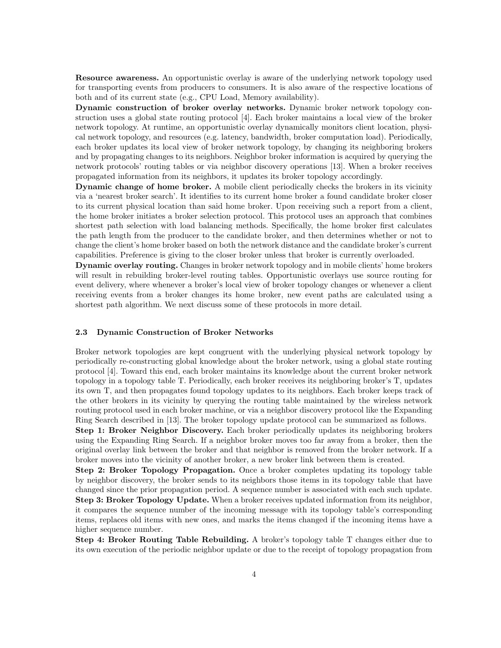Resource awareness. An opportunistic overlay is aware of the underlying network topology used for transporting events from producers to consumers. It is also aware of the respective locations of both and of its current state (e.g., CPU Load, Memory availability).

Dynamic construction of broker overlay networks. Dynamic broker network topology construction uses a global state routing protocol [4]. Each broker maintains a local view of the broker network topology. At runtime, an opportunistic overlay dynamically monitors client location, physical network topology, and resources (e.g. latency, bandwidth, broker computation load). Periodically, each broker updates its local view of broker network topology, by changing its neighboring brokers and by propagating changes to its neighbors. Neighbor broker information is acquired by querying the network protocols' routing tables or via neighbor discovery operations [13]. When a broker receives propagated information from its neighbors, it updates its broker topology accordingly.

Dynamic change of home broker. A mobile client periodically checks the brokers in its vicinity via a 'nearest broker search'. It identifies to its current home broker a found candidate broker closer to its current physical location than said home broker. Upon receiving such a report from a client, the home broker initiates a broker selection protocol. This protocol uses an approach that combines shortest path selection with load balancing methods. Specifically, the home broker first calculates the path length from the producer to the candidate broker, and then determines whether or not to change the client's home broker based on both the network distance and the candidate broker's current capabilities. Preference is giving to the closer broker unless that broker is currently overloaded.

Dynamic overlay routing. Changes in broker network topology and in mobile clients' home brokers will result in rebuilding broker-level routing tables. Opportunistic overlays use source routing for event delivery, where whenever a broker's local view of broker topology changes or whenever a client receiving events from a broker changes its home broker, new event paths are calculated using a shortest path algorithm. We next discuss some of these protocols in more detail.

## 2.3 Dynamic Construction of Broker Networks

Broker network topologies are kept congruent with the underlying physical network topology by periodically re-constructing global knowledge about the broker network, using a global state routing protocol [4]. Toward this end, each broker maintains its knowledge about the current broker network topology in a topology table T. Periodically, each broker receives its neighboring broker's T, updates its own T, and then propagates found topology updates to its neighbors. Each broker keeps track of the other brokers in its vicinity by querying the routing table maintained by the wireless network routing protocol used in each broker machine, or via a neighbor discovery protocol like the Expanding Ring Search described in [13]. The broker topology update protocol can be summarized as follows.

Step 1: Broker Neighbor Discovery. Each broker periodically updates its neighboring brokers using the Expanding Ring Search. If a neighbor broker moves too far away from a broker, then the original overlay link between the broker and that neighbor is removed from the broker network. If a broker moves into the vicinity of another broker, a new broker link between them is created.

Step 2: Broker Topology Propagation. Once a broker completes updating its topology table by neighbor discovery, the broker sends to its neighbors those items in its topology table that have changed since the prior propagation period. A sequence number is associated with each such update. Step 3: Broker Topology Update. When a broker receives updated information from its neighbor, it compares the sequence number of the incoming message with its topology table's corresponding items, replaces old items with new ones, and marks the items changed if the incoming items have a higher sequence number.

Step 4: Broker Routing Table Rebuilding. A broker's topology table T changes either due to its own execution of the periodic neighbor update or due to the receipt of topology propagation from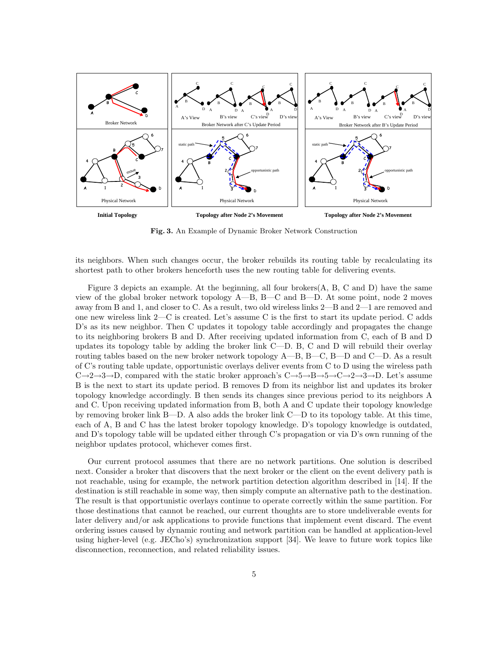

Fig. 3. An Example of Dynamic Broker Network Construction

its neighbors. When such changes occur, the broker rebuilds its routing table by recalculating its shortest path to other brokers henceforth uses the new routing table for delivering events.

Figure 3 depicts an example. At the beginning, all four brokers(A, B, C and D) have the same view of the global broker network topology A—B, B—C and B—D. At some point, node 2 moves away from B and 1, and closer to C. As a result, two old wireless links 2—B and 2—1 are removed and one new wireless link 2—C is created. Let's assume C is the first to start its update period. C adds D's as its new neighbor. Then C updates it topology table accordingly and propagates the change to its neighboring brokers B and D. After receiving updated information from C, each of B and D updates its topology table by adding the broker link C—D. B, C and D will rebuild their overlay routing tables based on the new broker network topology A—B, B—C, B—D and C—D. As a result of C's routing table update, opportunistic overlays deliver events from C to D using the wireless path  $C\rightarrow 2\rightarrow 3\rightarrow D$ , compared with the static broker approach's  $C\rightarrow 5\rightarrow B\rightarrow 5\rightarrow C\rightarrow 2\rightarrow 3\rightarrow D$ . Let's assume B is the next to start its update period. B removes D from its neighbor list and updates its broker topology knowledge accordingly. B then sends its changes since previous period to its neighbors A and C. Upon receiving updated information from B, both A and C update their topology knowledge by removing broker link B—D. A also adds the broker link C—D to its topology table. At this time, each of A, B and C has the latest broker topology knowledge. D's topology knowledge is outdated, and D's topology table will be updated either through C's propagation or via D's own running of the neighbor updates protocol, whichever comes first.

Our current protocol assumes that there are no network partitions. One solution is described next. Consider a broker that discovers that the next broker or the client on the event delivery path is not reachable, using for example, the network partition detection algorithm described in [14]. If the destination is still reachable in some way, then simply compute an alternative path to the destination. The result is that opportunistic overlays continue to operate correctly within the same partition. For those destinations that cannot be reached, our current thoughts are to store undeliverable events for later delivery and/or ask applications to provide functions that implement event discard. The event ordering issues caused by dynamic routing and network partition can be handled at application-level using higher-level (e.g. JECho's) synchronization support [34]. We leave to future work topics like disconnection, reconnection, and related reliability issues.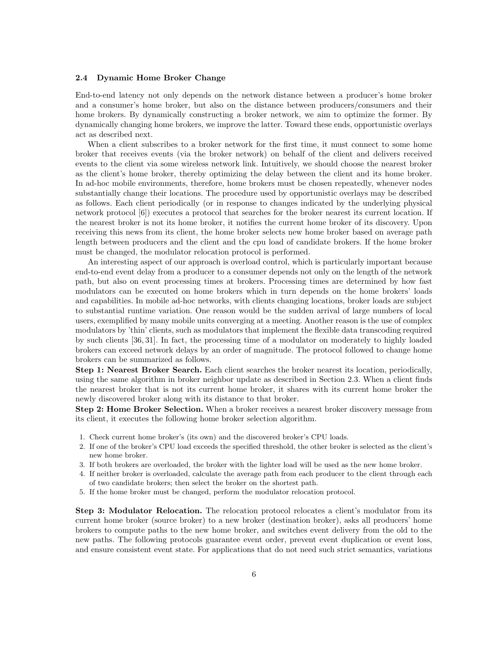## 2.4 Dynamic Home Broker Change

End-to-end latency not only depends on the network distance between a producer's home broker and a consumer's home broker, but also on the distance between producers/consumers and their home brokers. By dynamically constructing a broker network, we aim to optimize the former. By dynamically changing home brokers, we improve the latter. Toward these ends, opportunistic overlays act as described next.

When a client subscribes to a broker network for the first time, it must connect to some home broker that receives events (via the broker network) on behalf of the client and delivers received events to the client via some wireless network link. Intuitively, we should choose the nearest broker as the client's home broker, thereby optimizing the delay between the client and its home broker. In ad-hoc mobile environments, therefore, home brokers must be chosen repeatedly, whenever nodes substantially change their locations. The procedure used by opportunistic overlays may be described as follows. Each client periodically (or in response to changes indicated by the underlying physical network protocol [6]) executes a protocol that searches for the broker nearest its current location. If the nearest broker is not its home broker, it notifies the current home broker of its discovery. Upon receiving this news from its client, the home broker selects new home broker based on average path length between producers and the client and the cpu load of candidate brokers. If the home broker must be changed, the modulator relocation protocol is performed.

An interesting aspect of our approach is overload control, which is particularly important because end-to-end event delay from a producer to a consumer depends not only on the length of the network path, but also on event processing times at brokers. Processing times are determined by how fast modulators can be executed on home brokers which in turn depends on the home brokers' loads and capabilities. In mobile ad-hoc networks, with clients changing locations, broker loads are subject to substantial runtime variation. One reason would be the sudden arrival of large numbers of local users, exemplified by many mobile units converging at a meeting. Another reason is the use of complex modulators by 'thin' clients, such as modulators that implement the flexible data transcoding required by such clients [36, 31]. In fact, the processing time of a modulator on moderately to highly loaded brokers can exceed network delays by an order of magnitude. The protocol followed to change home brokers can be summarized as follows.

Step 1: Nearest Broker Search. Each client searches the broker nearest its location, periodically, using the same algorithm in broker neighbor update as described in Section 2.3. When a client finds the nearest broker that is not its current home broker, it shares with its current home broker the newly discovered broker along with its distance to that broker.

Step 2: Home Broker Selection. When a broker receives a nearest broker discovery message from its client, it executes the following home broker selection algorithm.

- 1. Check current home broker's (its own) and the discovered broker's CPU loads.
- 2. If one of the broker's CPU load exceeds the specified threshold, the other broker is selected as the client's new home broker.
- 3. If both brokers are overloaded, the broker with the lighter load will be used as the new home broker.
- 4. If neither broker is overloaded, calculate the average path from each producer to the client through each of two candidate brokers; then select the broker on the shortest path.
- 5. If the home broker must be changed, perform the modulator relocation protocol.

Step 3: Modulator Relocation. The relocation protocol relocates a client's modulator from its current home broker (source broker) to a new broker (destination broker), asks all producers' home brokers to compute paths to the new home broker, and switches event delivery from the old to the new paths. The following protocols guarantee event order, prevent event duplication or event loss, and ensure consistent event state. For applications that do not need such strict semantics, variations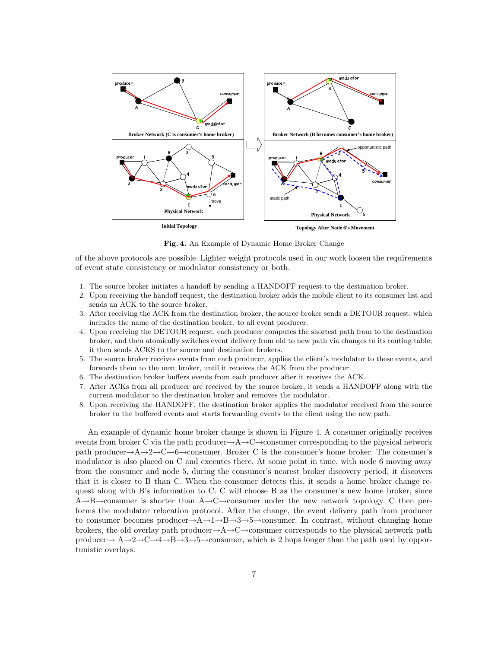

Fig. 4. An Example of Dynamic Home Broker Change

of the above protocols are possible. Lighter weight protocols used in our work loosen the requirements of event state consistency or modulator consistency or both.

- 1. The source broker initiates a handoff by sending a HANDOFF request to the destination broker.
- 2. Upon receiving the handoff request, the destination broker adds the mobile client to its consumer list and sends an ACK to the source broker.
- 3. After receiving the ACK from the destination broker, the source broker sends a DETOUR request, which includes the name of the destination broker, to all event producer.
- 4. Upon receiving the DETOUR request, each producer computes the shortest path from to the destination broker, and then atomically switches event delivery from old to new path via changes to its routing table; it then sends ACKS to the source and destination brokers.
- 5. The source broker receives events from each producer, applies the client's modulator to these events, and forwards them to the next broker, until it receives the ACK from the producer.
- 6. The destination broker buffers events from each producer after it receives the ACK.
- 7. After ACKs from all producer are received by the source broker, it sends a HANDOFF along with the current modulator to the destination broker and removes the modulator.
- 8. Upon receiving the HANDOFF, the destination broker applies the modulator received from the source broker to the buffered events and starts forwarding events to the client using the new path.

An example of dynamic home broker change is shown in Figure 4. A consumer originally receives events from broker C via the path producer $\rightarrow A \rightarrow C \rightarrow$ consumer corresponding to the physical network path producer $\rightarrow A \rightarrow 2 \rightarrow C \rightarrow 6 \rightarrow$ consumer. Broker C is the consumer's home broker. The consumer's modulator is also placed on C and executes there. At some point in time, with node 6 moving away from the consumer and node 5, during the consumer's nearest broker discovery period, it discovers that it is closer to B than C. When the consumer detects this, it sends a home broker change request along with B's information to C. C will choose B as the consumer's new home broker, since  $A\rightarrow B\rightarrow \infty$ consumer is shorter than  $A\rightarrow C\rightarrow \infty$ consumer under the new network topology. C then performs the modulator relocation protocol. After the change, the event delivery path from producer to consumer becomes producer $\rightarrow A \rightarrow I \rightarrow B \rightarrow 3 \rightarrow$ consumer. In contrast, without changing home brokers, the old overlay path producer $\rightarrow A \rightarrow C \rightarrow$ consumer corresponds to the physical network path producer $\rightarrow A \rightarrow 2 \rightarrow C \rightarrow 4 \rightarrow B \rightarrow 3 \rightarrow 5 \rightarrow$ consumer, which is 2 hops longer than the path used by opportunistic overlays.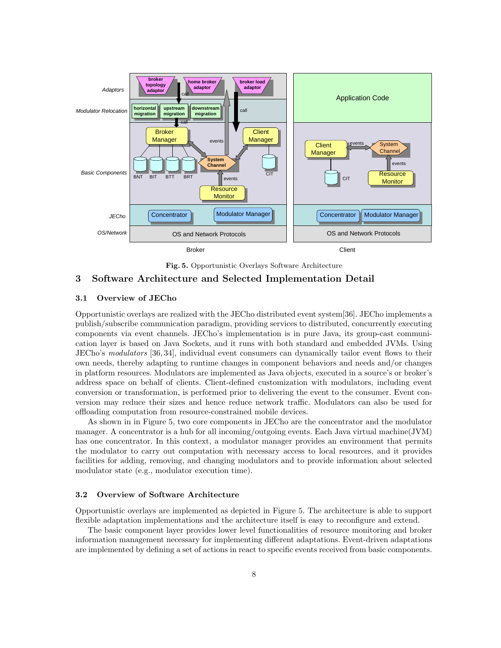

Fig. 5. Opportunistic Overlays Software Architecture

## 3 Software Architecture and Selected Implementation Detail

## 3.1 Overview of JECho

Opportunistic overlays are realized with the JECho distributed event system[36]. JECho implements a publish/subscribe communication paradigm, providing services to distributed, concurrently executing components via event channels. JECho's implementation is in pure Java, its group-cast communication layer is based on Java Sockets, and it runs with both standard and embedded JVMs. Using JECho's modulators [36, 34], individual event consumers can dynamically tailor event flows to their own needs, thereby adapting to runtime changes in component behaviors and needs and/or changes in platform resources. Modulators are implemented as Java objects, executed in a source's or broker's address space on behalf of clients. Client-defined customization with modulators, including event conversion or transformation, is performed prior to delivering the event to the consumer. Event conversion may reduce their sizes and hence reduce network traffic. Modulators can also be used for offloading computation from resource-constrained mobile devices.

As shown in in Figure 5, two core components in JECho are the concentrator and the modulator manager. A concentrator is a hub for all incoming/outgoing events. Each Java virtual machine(JVM) has one concentrator. In this context, a modulator manager provides an environment that permits the modulator to carry out computation with necessary access to local resources, and it provides facilities for adding, removing, and changing modulators and to provide information about selected modulator state (e.g., modulator execution time).

## 3.2 Overview of Software Architecture

Opportunistic overlays are implemented as depicted in Figure 5. The architecture is able to support flexible adaptation implementations and the architecture itself is easy to reconfigure and extend.

The basic component layer provides lower level functionalities of resource monitoring and broker information management necessary for implementing different adaptations. Event-driven adaptations are implemented by defining a set of actions in react to specific events received from basic components.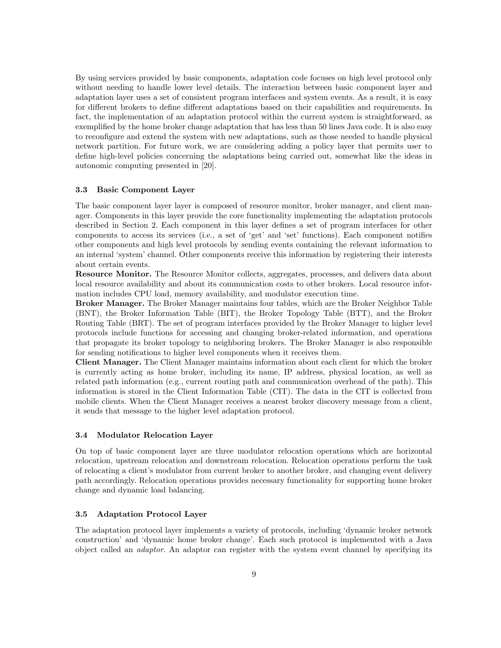By using services provided by basic components, adaptation code focuses on high level protocol only without needing to handle lower level details. The interaction between basic component layer and adaptation layer uses a set of consistent program interfaces and system events. As a result, it is easy for different brokers to define different adaptations based on their capabilities and requirements. In fact, the implementation of an adaptation protocol within the current system is straightforward, as exemplified by the home broker change adaptation that has less than 50 lines Java code. It is also easy to reconfigure and extend the system with new adaptations, such as those needed to handle physical network partition. For future work, we are considering adding a policy layer that permits user to define high-level policies concerning the adaptations being carried out, somewhat like the ideas in autonomic computing presented in [20].

#### 3.3 Basic Component Layer

The basic component layer layer is composed of resource monitor, broker manager, and client manager. Components in this layer provide the core functionality implementing the adaptation protocols described in Section 2. Each component in this layer defines a set of program interfaces for other components to access its services (i.e., a set of 'get' and 'set' functions). Each component notifies other components and high level protocols by sending events containing the relevant information to an internal 'system' channel. Other components receive this information by registering their interests about certain events.

Resource Monitor. The Resource Monitor collects, aggregates, processes, and delivers data about local resource availability and about its communication costs to other brokers. Local resource information includes CPU load, memory availability, and modulator execution time.

Broker Manager. The Broker Manager maintains four tables, which are the Broker Neighbor Table (BNT), the Broker Information Table (BIT), the Broker Topology Table (BTT), and the Broker Routing Table (BRT). The set of program interfaces provided by the Broker Manager to higher level protocols include functions for accessing and changing broker-related information, and operations that propagate its broker topology to neighboring brokers. The Broker Manager is also responsible for sending notifications to higher level components when it receives them.

Client Manager. The Client Manager maintains information about each client for which the broker is currently acting as home broker, including its name, IP address, physical location, as well as related path information (e.g., current routing path and communication overhead of the path). This information is stored in the Client Information Table (CIT). The data in the CIT is collected from mobile clients. When the Client Manager receives a nearest broker discovery message from a client, it sends that message to the higher level adaptation protocol.

## 3.4 Modulator Relocation Layer

On top of basic component layer are three modulator relocation operations which are horizontal relocation, upstream relocation and downstream relocation. Relocation operations perform the task of relocating a client's modulator from current broker to another broker, and changing event delivery path accordingly. Relocation operations provides necessary functionality for supporting home broker change and dynamic load balancing.

## 3.5 Adaptation Protocol Layer

The adaptation protocol layer implements a variety of protocols, including 'dynamic broker network construction' and 'dynamic home broker change'. Each such protocol is implemented with a Java object called an adaptor. An adaptor can register with the system event channel by specifying its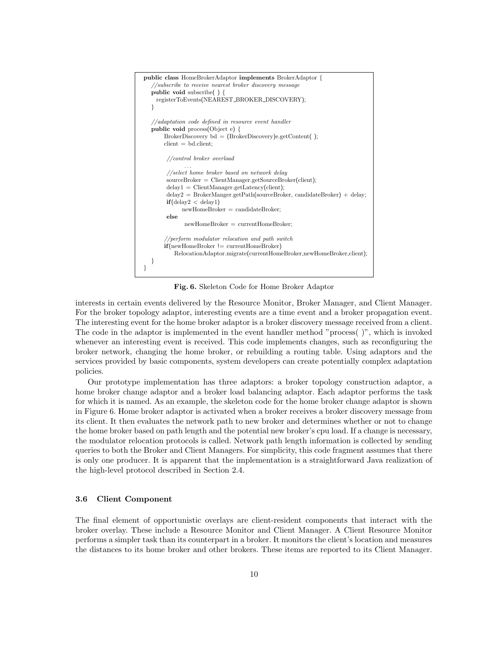```
public class HomeBrokerAdaptor implements BrokerAdaptor {
   //subscribe to receive nearest broker discovery message
  public void subscribe( ) {
    registerToEvents(NEAREST BROKER DISCOVERY);
   }
   //adaptation code defined in resource event handler
  public void process(Object e) {
       BrokerDiscovery bd = (BrokerDiscovery)e.getContent( );
       client = bd. client;//control broker overload
              . . .
        //select home broker based on network delay
        sourceBroker = ClientManager.getSourceBroker(client);
        delay1 = ClientManager.getLatency(client);
        delay2 = BrokerManager.getPath(sourceBroker, candidateBroker) + delay;if(\text{delay2} < \text{delay1})newHomeBroker = candidateBroker;
        else
              newHomeBroker = currentHomeBroker;
       //perform modulator relocation and path switch
       if(newHomeBroke != currentHomeBroke)RelocationAdaptor.migrate(currentHomeBroker,newHomeBroker,client);
   }
}
```
Fig. 6. Skeleton Code for Home Broker Adaptor

interests in certain events delivered by the Resource Monitor, Broker Manager, and Client Manager. For the broker topology adaptor, interesting events are a time event and a broker propagation event. The interesting event for the home broker adaptor is a broker discovery message received from a client. The code in the adaptor is implemented in the event handler method "process( )", which is invoked whenever an interesting event is received. This code implements changes, such as reconfiguring the broker network, changing the home broker, or rebuilding a routing table. Using adaptors and the services provided by basic components, system developers can create potentially complex adaptation policies.

Our prototype implementation has three adaptors: a broker topology construction adaptor, a home broker change adaptor and a broker load balancing adaptor. Each adaptor performs the task for which it is named. As an example, the skeleton code for the home broker change adaptor is shown in Figure 6. Home broker adaptor is activated when a broker receives a broker discovery message from its client. It then evaluates the network path to new broker and determines whether or not to change the home broker based on path length and the potential new broker's cpu load. If a change is necessary, the modulator relocation protocols is called. Network path length information is collected by sending queries to both the Broker and Client Managers. For simplicity, this code fragment assumes that there is only one producer. It is apparent that the implementation is a straightforward Java realization of the high-level protocol described in Section 2.4.

## 3.6 Client Component

The final element of opportunistic overlays are client-resident components that interact with the broker overlay. These include a Resource Monitor and Client Manager. A Client Resource Monitor performs a simpler task than its counterpart in a broker. It monitors the client's location and measures the distances to its home broker and other brokers. These items are reported to its Client Manager.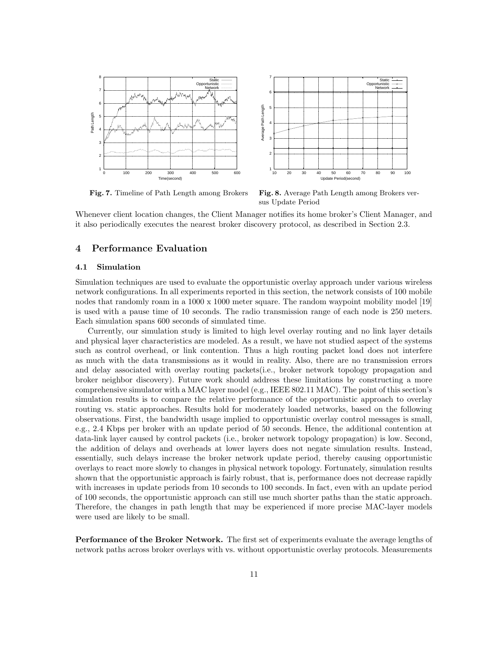

Fig. 7. Timeline of Path Length among Brokers

Fig. 8. Average Path Length among Brokers versus Update Period

Whenever client location changes, the Client Manager notifies its home broker's Client Manager, and it also periodically executes the nearest broker discovery protocol, as described in Section 2.3.

# 4 Performance Evaluation

#### 4.1 Simulation

Simulation techniques are used to evaluate the opportunistic overlay approach under various wireless network configurations. In all experiments reported in this section, the network consists of 100 mobile nodes that randomly roam in a 1000 x 1000 meter square. The random waypoint mobility model [19] is used with a pause time of 10 seconds. The radio transmission range of each node is 250 meters. Each simulation spans 600 seconds of simulated time.

Currently, our simulation study is limited to high level overlay routing and no link layer details and physical layer characteristics are modeled. As a result, we have not studied aspect of the systems such as control overhead, or link contention. Thus a high routing packet load does not interfere as much with the data transmissions as it would in reality. Also, there are no transmission errors and delay associated with overlay routing packets(i.e., broker network topology propagation and broker neighbor discovery). Future work should address these limitations by constructing a more comprehensive simulator with a MAC layer model (e.g., IEEE 802.11 MAC). The point of this section's simulation results is to compare the relative performance of the opportunistic approach to overlay routing vs. static approaches. Results hold for moderately loaded networks, based on the following observations. First, the bandwidth usage implied to opportunistic overlay control messages is small, e.g., 2.4 Kbps per broker with an update period of 50 seconds. Hence, the additional contention at data-link layer caused by control packets (i.e., broker network topology propagation) is low. Second, the addition of delays and overheads at lower layers does not negate simulation results. Instead, essentially, such delays increase the broker network update period, thereby causing opportunistic overlays to react more slowly to changes in physical network topology. Fortunately, simulation results shown that the opportunistic approach is fairly robust, that is, performance does not decrease rapidly with increases in update periods from 10 seconds to 100 seconds. In fact, even with an update period of 100 seconds, the opportunistic approach can still use much shorter paths than the static approach. Therefore, the changes in path length that may be experienced if more precise MAC-layer models were used are likely to be small.

Performance of the Broker Network. The first set of experiments evaluate the average lengths of network paths across broker overlays with vs. without opportunistic overlay protocols. Measurements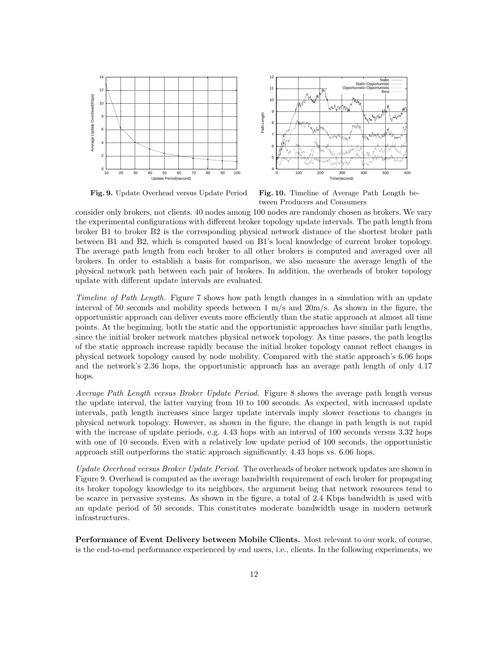

Fig. 9. Update Overhead versus Update Period

Fig. 10. Timeline of Average Path Length between Producers and Consumers

consider only brokers, not clients. 40 nodes among 100 nodes are randomly chosen as brokers. We vary the experimental configurations with different broker topology update intervals. The path length from broker B1 to broker B2 is the corresponding physical network distance of the shortest broker path between B1 and B2, which is computed based on B1's local knowledge of current broker topology. The average path length from each broker to all other brokers is computed and averaged over all brokers. In order to establish a basis for comparison, we also measure the average length of the physical network path between each pair of brokers. In addition, the overheads of broker topology update with different update intervals are evaluated.

Timeline of Path Length. Figure 7 shows how path length changes in a simulation with an update interval of 50 seconds and mobility speeds between 1 m/s and 20m/s. As shown in the figure, the opportunistic approach can deliver events more efficiently than the static approach at almost all time points. At the beginning, both the static and the opportunistic approaches have similar path lengths, since the initial broker network matches physical network topology. As time passes, the path lengths of the static approach increase rapidly because the initial broker topology cannot reflect changes in physical network topology caused by node mobility. Compared with the static approach's 6.06 hops and the network's 2.36 hops, the opportunistic approach has an average path length of only 4.17 hops.

Average Path Length versus Broker Update Period. Figure 8 shows the average path length versus the update interval, the latter varying from 10 to 100 seconds. As expected, with increased update intervals, path length increases since larger update intervals imply slower reactions to changes in physical network topology. However, as shown in the figure, the change in path length is not rapid with the increase of update periods, e.g. 4.43 hops with an interval of 100 seconds versus 3.32 hops with one of 10 seconds. Even with a relatively low update period of 100 seconds, the opportunistic approach still outperforms the static approach significantly, 4.43 hops vs. 6.06 hops.

Update Overhead versus Broker Update Period. The overheads of broker network updates are shown in Figure 9. Overhead is computed as the average bandwidth requirement of each broker for propagating its broker topology knowledge to its neighbors, the argument being that network resources tend to be scarce in pervasive systems. As shown in the figure, a total of 2.4 Kbps bandwidth is used with an update period of 50 seconds. This constitutes moderate bandwidth usage in modern network infrastructures.

Performance of Event Delivery between Mobile Clients. Most relevant to our work, of course, is the end-to-end performance experienced by end users, i.e., clients. In the following experiments, we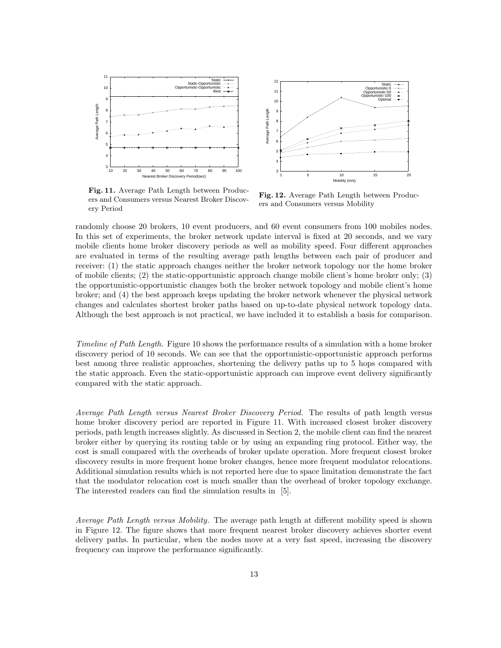



Fig. 11. Average Path Length between Producers and Consumers versus Nearest Broker Discovery Period

Fig. 12. Average Path Length between Producers and Consumers versus Mobility

randomly choose 20 brokers, 10 event producers, and 60 event consumers from 100 mobiles nodes. In this set of experiments, the broker network update interval is fixed at 20 seconds, and we vary mobile clients home broker discovery periods as well as mobility speed. Four different approaches are evaluated in terms of the resulting average path lengths between each pair of producer and receiver: (1) the static approach changes neither the broker network topology nor the home broker of mobile clients; (2) the static-opportunistic approach change mobile client's home broker only; (3) the opportunistic-opportunistic changes both the broker network topology and mobile client's home broker; and (4) the best approach keeps updating the broker network whenever the physical network changes and calculates shortest broker paths based on up-to-date physical network topology data. Although the best approach is not practical, we have included it to establish a basis for comparison.

Timeline of Path Length. Figure 10 shows the performance results of a simulation with a home broker discovery period of 10 seconds. We can see that the opportunistic-opportunistic approach performs best among three realistic approaches, shortening the delivery paths up to 5 hops compared with the static approach. Even the static-opportunistic approach can improve event delivery significantly compared with the static approach.

Average Path Length versus Nearest Broker Discovery Period. The results of path length versus home broker discovery period are reported in Figure 11. With increased closest broker discovery periods, path length increases slightly. As discussed in Section 2, the mobile client can find the nearest broker either by querying its routing table or by using an expanding ring protocol. Either way, the cost is small compared with the overheads of broker update operation. More frequent closest broker discovery results in more frequent home broker changes, hence more frequent modulator relocations. Additional simulation results which is not reported here due to space limitation demonstrate the fact that the modulator relocation cost is much smaller than the overhead of broker topology exchange. The interested readers can find the simulation results in [5].

Average Path Length versus Mobility. The average path length at different mobility speed is shown in Figure 12. The figure shows that more frequent nearest broker discovery achieves shorter event delivery paths. In particular, when the nodes move at a very fast speed, increasing the discovery frequency can improve the performance significantly.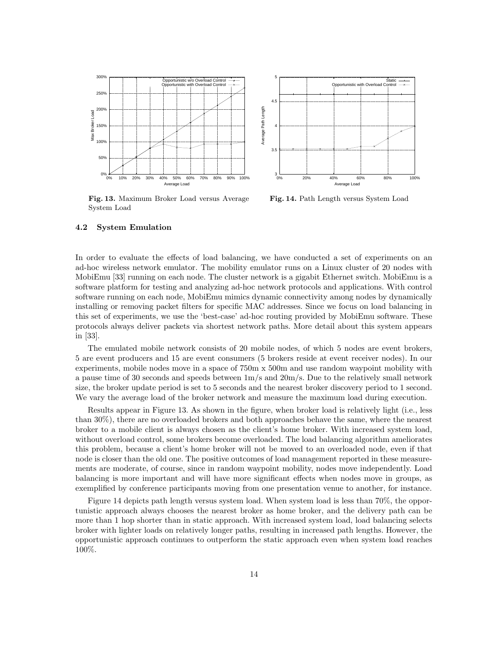

Fig. 13. Maximum Broker Load versus Average System Load



Fig. 14. Path Length versus System Load

#### 4.2 System Emulation

In order to evaluate the effects of load balancing, we have conducted a set of experiments on an ad-hoc wireless network emulator. The mobility emulator runs on a Linux cluster of 20 nodes with MobiEmu [33] running on each node. The cluster network is a gigabit Ethernet switch. MobiEmu is a software platform for testing and analyzing ad-hoc network protocols and applications. With control software running on each node, MobiEmu mimics dynamic connectivity among nodes by dynamically installing or removing packet filters for specific MAC addresses. Since we focus on load balancing in this set of experiments, we use the 'best-case' ad-hoc routing provided by MobiEmu software. These protocols always deliver packets via shortest network paths. More detail about this system appears in [33].

The emulated mobile network consists of 20 mobile nodes, of which 5 nodes are event brokers, 5 are event producers and 15 are event consumers (5 brokers reside at event receiver nodes). In our experiments, mobile nodes move in a space of 750m x 500m and use random waypoint mobility with a pause time of 30 seconds and speeds between 1m/s and 20m/s. Due to the relatively small network size, the broker update period is set to 5 seconds and the nearest broker discovery period to 1 second. We vary the average load of the broker network and measure the maximum load during execution.

Results appear in Figure 13. As shown in the figure, when broker load is relatively light (i.e., less than 30%), there are no overloaded brokers and both approaches behave the same, where the nearest broker to a mobile client is always chosen as the client's home broker. With increased system load, without overload control, some brokers become overloaded. The load balancing algorithm ameliorates this problem, because a client's home broker will not be moved to an overloaded node, even if that node is closer than the old one. The positive outcomes of load management reported in these measurements are moderate, of course, since in random waypoint mobility, nodes move independently. Load balancing is more important and will have more significant effects when nodes move in groups, as exemplified by conference participants moving from one presentation venue to another, for instance.

Figure 14 depicts path length versus system load. When system load is less than 70%, the opportunistic approach always chooses the nearest broker as home broker, and the delivery path can be more than 1 hop shorter than in static approach. With increased system load, load balancing selects broker with lighter loads on relatively longer paths, resulting in increased path lengths. However, the opportunistic approach continues to outperform the static approach even when system load reaches 100%.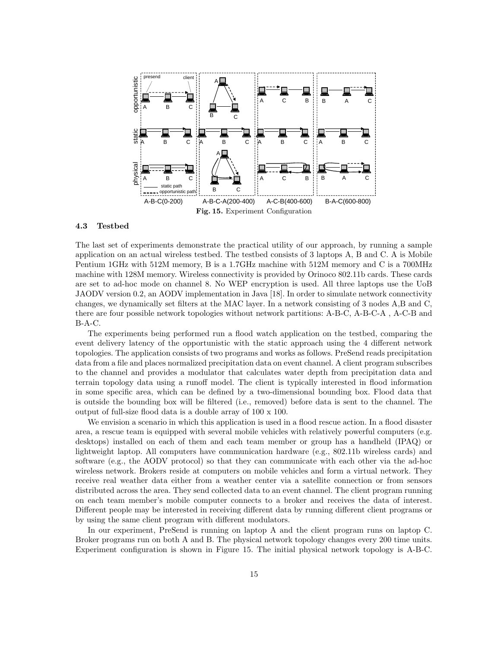

#### 4.3 Testbed

The last set of experiments demonstrate the practical utility of our approach, by running a sample application on an actual wireless testbed. The testbed consists of 3 laptops A, B and C. A is Mobile Pentium 1GHz with 512M memory, B is a 1.7GHz machine with 512M memory and C is a 700MHz machine with 128M memory. Wireless connectivity is provided by Orinoco 802.11b cards. These cards are set to ad-hoc mode on channel 8. No WEP encryption is used. All three laptops use the UoB JAODV version 0.2, an AODV implementation in Java [18]. In order to simulate network connectivity changes, we dynamically set filters at the MAC layer. In a network consisting of 3 nodes A,B and C, there are four possible network topologies without network partitions: A-B-C, A-B-C-A , A-C-B and B-A-C.

The experiments being performed run a flood watch application on the testbed, comparing the event delivery latency of the opportunistic with the static approach using the 4 different network topologies. The application consists of two programs and works as follows. PreSend reads precipitation data from a file and places normalized precipitation data on event channel. A client program subscribes to the channel and provides a modulator that calculates water depth from precipitation data and terrain topology data using a runoff model. The client is typically interested in flood information in some specific area, which can be defined by a two-dimensional bounding box. Flood data that is outside the bounding box will be filtered (i.e., removed) before data is sent to the channel. The output of full-size flood data is a double array of 100 x 100.

We envision a scenario in which this application is used in a flood rescue action. In a flood disaster area, a rescue team is equipped with several mobile vehicles with relatively powerful computers (e.g. desktops) installed on each of them and each team member or group has a handheld (IPAQ) or lightweight laptop. All computers have communication hardware (e.g., 802.11b wireless cards) and software (e.g., the AODV protocol) so that they can communicate with each other via the ad-hoc wireless network. Brokers reside at computers on mobile vehicles and form a virtual network. They receive real weather data either from a weather center via a satellite connection or from sensors distributed across the area. They send collected data to an event channel. The client program running on each team member's mobile computer connects to a broker and receives the data of interest. Different people may be interested in receiving different data by running different client programs or by using the same client program with different modulators.

In our experiment, PreSend is running on laptop A and the client program runs on laptop C. Broker programs run on both A and B. The physical network topology changes every 200 time units. Experiment configuration is shown in Figure 15. The initial physical network topology is A-B-C.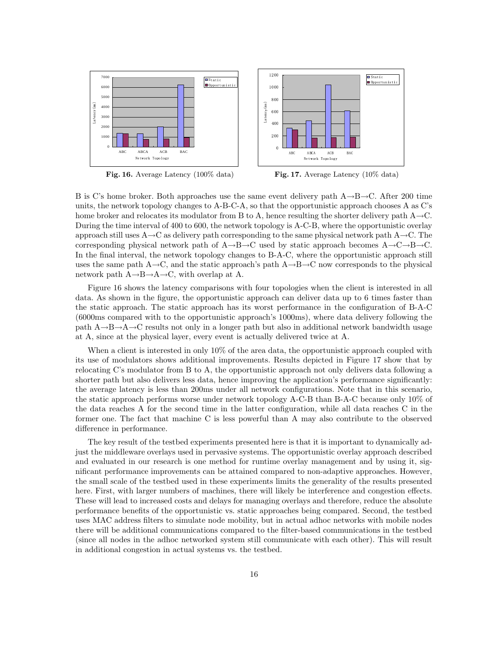

Fig. 16. Average Latency (100% data)

Fig. 17. Average Latency (10% data)

B is C's home broker. Both approaches use the same event delivery path  $A\rightarrow B\rightarrow C$ . After 200 time units, the network topology changes to A-B-C-A, so that the opportunistic approach chooses A as C's home broker and relocates its modulator from B to A, hence resulting the shorter delivery path  $A\rightarrow C$ . During the time interval of 400 to 600, the network topology is A-C-B, where the opportunistic overlay approach still uses A $\rightarrow$ C as delivery path corresponding to the same physical network path A $\rightarrow$ C. The corresponding physical network path of A→B→C used by static approach becomes A→C→B→C. In the final interval, the network topology changes to B-A-C, where the opportunistic approach still uses the same path  $A\rightarrow C$ , and the static approach's path  $A\rightarrow B\rightarrow C$  now corresponds to the physical network path  $A \rightarrow B \rightarrow A \rightarrow C$ , with overlap at A.

Figure 16 shows the latency comparisons with four topologies when the client is interested in all data. As shown in the figure, the opportunistic approach can deliver data up to 6 times faster than the static approach. The static approach has its worst performance in the configuration of B-A-C (6000ms compared with to the opportunistic approach's 1000ms), where data delivery following the path  $A\rightarrow B\rightarrow A\rightarrow C$  results not only in a longer path but also in additional network bandwidth usage at A, since at the physical layer, every event is actually delivered twice at A.

When a client is interested in only 10% of the area data, the opportunistic approach coupled with its use of modulators shows additional improvements. Results depicted in Figure 17 show that by relocating C's modulator from B to A, the opportunistic approach not only delivers data following a shorter path but also delivers less data, hence improving the application's performance significantly: the average latency is less than 200ms under all network configurations. Note that in this scenario, the static approach performs worse under network topology A-C-B than B-A-C because only 10% of the data reaches A for the second time in the latter configuration, while all data reaches C in the former one. The fact that machine C is less powerful than A may also contribute to the observed difference in performance.

The key result of the testbed experiments presented here is that it is important to dynamically adjust the middleware overlays used in pervasive systems. The opportunistic overlay approach described and evaluated in our research is one method for runtime overlay management and by using it, significant performance improvements can be attained compared to non-adaptive approaches. However, the small scale of the testbed used in these experiments limits the generality of the results presented here. First, with larger numbers of machines, there will likely be interference and congestion effects. These will lead to increased costs and delays for managing overlays and therefore, reduce the absolute performance benefits of the opportunistic vs. static approaches being compared. Second, the testbed uses MAC address filters to simulate node mobility, but in actual adhoc networks with mobile nodes there will be additional communications compared to the filter-based communications in the testbed (since all nodes in the adhoc networked system still communicate with each other). This will result in additional congestion in actual systems vs. the testbed.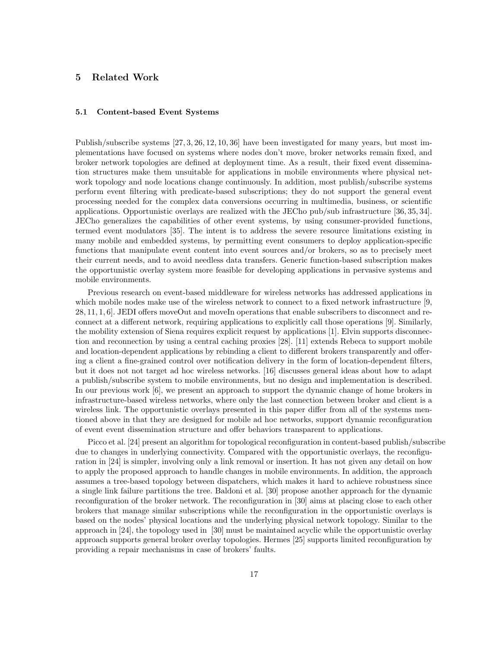# 5 Related Work

#### 5.1 Content-based Event Systems

Publish/subscribe systems [27, 3, 26, 12, 10, 36] have been investigated for many years, but most implementations have focused on systems where nodes don't move, broker networks remain fixed, and broker network topologies are defined at deployment time. As a result, their fixed event dissemination structures make them unsuitable for applications in mobile environments where physical network topology and node locations change continuously. In addition, most publish/subscribe systems perform event filtering with predicate-based subscriptions; they do not support the general event processing needed for the complex data conversions occurring in multimedia, business, or scientific applications. Opportunistic overlays are realized with the JECho pub/sub infrastructure [36, 35, 34]. JECho generalizes the capabilities of other event systems, by using consumer-provided functions, termed event modulators [35]. The intent is to address the severe resource limitations existing in many mobile and embedded systems, by permitting event consumers to deploy application-specific functions that manipulate event content into event sources and/or brokers, so as to precisely meet their current needs, and to avoid needless data transfers. Generic function-based subscription makes the opportunistic overlay system more feasible for developing applications in pervasive systems and mobile environments.

Previous research on event-based middleware for wireless networks has addressed applications in which mobile nodes make use of the wireless network to connect to a fixed network infrastructure [9, 28, 11, 1, 6]. JEDI offers moveOut and moveIn operations that enable subscribers to disconnect and reconnect at a different network, requiring applications to explicitly call those operations [9]. Similarly, the mobility extension of Siena requires explicit request by applications [1]. Elvin supports disconnection and reconnection by using a central caching proxies [28]. [11] extends Rebeca to support mobile and location-dependent applications by rebinding a client to different brokers transparently and offering a client a fine-grained control over notification delivery in the form of location-dependent filters, but it does not not target ad hoc wireless networks. [16] discusses general ideas about how to adapt a publish/subscribe system to mobile environments, but no design and implementation is described. In our previous work [6], we present an approach to support the dynamic change of home brokers in infrastructure-based wireless networks, where only the last connection between broker and client is a wireless link. The opportunistic overlays presented in this paper differ from all of the systems mentioned above in that they are designed for mobile ad hoc networks, support dynamic reconfiguration of event event dissemination structure and offer behaviors transparent to applications.

Picco et al. [24] present an algorithm for topological reconfiguration in content-based publish/subscribe due to changes in underlying connectivity. Compared with the opportunistic overlays, the reconfiguration in [24] is simpler, involving only a link removal or insertion. It has not given any detail on how to apply the proposed approach to handle changes in mobile environments. In addition, the approach assumes a tree-based topology between dispatchers, which makes it hard to achieve robustness since a single link failure partitions the tree. Baldoni et al. [30] propose another approach for the dynamic reconfiguration of the broker network. The reconfiguration in [30] aims at placing close to each other brokers that manage similar subscriptions while the reconfiguration in the opportunistic overlays is based on the nodes' physical locations and the underlying physical network topology. Similar to the approach in [24], the topology used in [30] must be maintained acyclic while the opportunistic overlay approach supports general broker overlay topologies. Hermes [25] supports limited reconfiguration by providing a repair mechanisms in case of brokers' faults.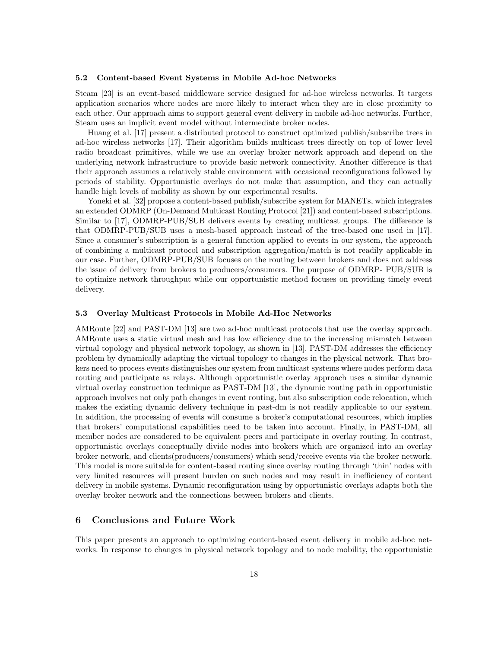#### 5.2 Content-based Event Systems in Mobile Ad-hoc Networks

Steam [23] is an event-based middleware service designed for ad-hoc wireless networks. It targets application scenarios where nodes are more likely to interact when they are in close proximity to each other. Our approach aims to support general event delivery in mobile ad-hoc networks. Further, Steam uses an implicit event model without intermediate broker nodes.

Huang et al. [17] present a distributed protocol to construct optimized publish/subscribe trees in ad-hoc wireless networks [17]. Their algorithm builds multicast trees directly on top of lower level radio broadcast primitives, while we use an overlay broker network approach and depend on the underlying network infrastructure to provide basic network connectivity. Another difference is that their approach assumes a relatively stable environment with occasional reconfigurations followed by periods of stability. Opportunistic overlays do not make that assumption, and they can actually handle high levels of mobility as shown by our experimental results.

Yoneki et al. [32] propose a content-based publish/subscribe system for MANETs, which integrates an extended ODMRP (On-Demand Multicast Routing Protocol [21]) and content-based subscriptions. Similar to [17], ODMRP-PUB/SUB delivers events by creating multicast groups. The difference is that ODMRP-PUB/SUB uses a mesh-based approach instead of the tree-based one used in [17]. Since a consumer's subscription is a general function applied to events in our system, the approach of combining a multicast protocol and subscription aggregation/match is not readily applicable in our case. Further, ODMRP-PUB/SUB focuses on the routing between brokers and does not address the issue of delivery from brokers to producers/consumers. The purpose of ODMRP- PUB/SUB is to optimize network throughput while our opportunistic method focuses on providing timely event delivery.

#### 5.3 Overlay Multicast Protocols in Mobile Ad-Hoc Networks

AMRoute [22] and PAST-DM [13] are two ad-hoc multicast protocols that use the overlay approach. AMRoute uses a static virtual mesh and has low efficiency due to the increasing mismatch between virtual topology and physical network topology, as shown in [13]. PAST-DM addresses the efficiency problem by dynamically adapting the virtual topology to changes in the physical network. That brokers need to process events distinguishes our system from multicast systems where nodes perform data routing and participate as relays. Although opportunistic overlay approach uses a similar dynamic virtual overlay construction technique as PAST-DM [13], the dynamic routing path in opportunistic approach involves not only path changes in event routing, but also subscription code relocation, which makes the existing dynamic delivery technique in past-dm is not readily applicable to our system. In addition, the processing of events will consume a broker's computational resources, which implies that brokers' computational capabilities need to be taken into account. Finally, in PAST-DM, all member nodes are considered to be equivalent peers and participate in overlay routing. In contrast, opportunistic overlays conceptually divide nodes into brokers which are organized into an overlay broker network, and clients(producers/consumers) which send/receive events via the broker network. This model is more suitable for content-based routing since overlay routing through 'thin' nodes with very limited resources will present burden on such nodes and may result in inefficiency of content delivery in mobile systems. Dynamic reconfiguration using by opportunistic overlays adapts both the overlay broker network and the connections between brokers and clients.

#### 6 Conclusions and Future Work

This paper presents an approach to optimizing content-based event delivery in mobile ad-hoc networks. In response to changes in physical network topology and to node mobility, the opportunistic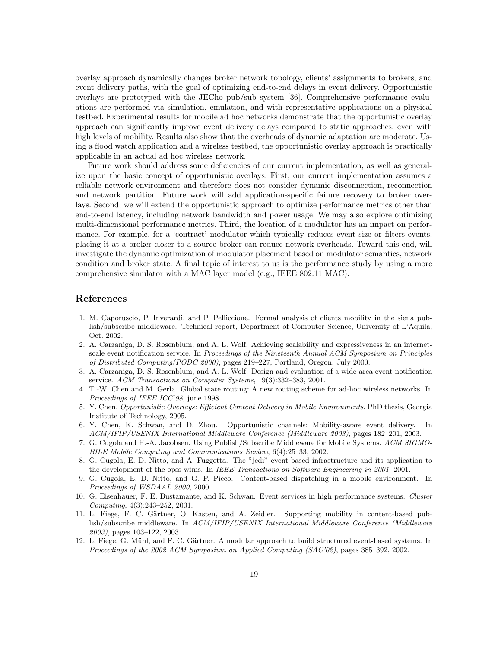overlay approach dynamically changes broker network topology, clients' assignments to brokers, and event delivery paths, with the goal of optimizing end-to-end delays in event delivery. Opportunistic overlays are prototyped with the JECho pub/sub system [36]. Comprehensive performance evaluations are performed via simulation, emulation, and with representative applications on a physical testbed. Experimental results for mobile ad hoc networks demonstrate that the opportunistic overlay approach can significantly improve event delivery delays compared to static approaches, even with high levels of mobility. Results also show that the overheads of dynamic adaptation are moderate. Using a flood watch application and a wireless testbed, the opportunistic overlay approach is practically applicable in an actual ad hoc wireless network.

Future work should address some deficiencies of our current implementation, as well as generalize upon the basic concept of opportunistic overlays. First, our current implementation assumes a reliable network environment and therefore does not consider dynamic disconnection, reconnection and network partition. Future work will add application-specific failure recovery to broker overlays. Second, we will extend the opportunistic approach to optimize performance metrics other than end-to-end latency, including network bandwidth and power usage. We may also explore optimizing multi-dimensional performance metrics. Third, the location of a modulator has an impact on performance. For example, for a 'contract' modulator which typically reduces event size or filters events, placing it at a broker closer to a source broker can reduce network overheads. Toward this end, will investigate the dynamic optimization of modulator placement based on modulator semantics, network condition and broker state. A final topic of interest to us is the performance study by using a more comprehensive simulator with a MAC layer model (e.g., IEEE 802.11 MAC).

# References

- 1. M. Caporuscio, P. Inverardi, and P. Pelliccione. Formal analysis of clients mobility in the siena publish/subscribe middleware. Technical report, Department of Computer Science, University of L'Aquila, Oct. 2002.
- 2. A. Carzaniga, D. S. Rosenblum, and A. L. Wolf. Achieving scalability and expressiveness in an internetscale event notification service. In Proceedings of the Nineteenth Annual ACM Symposium on Principles of Distributed Computing(PODC 2000), pages 219–227, Portland, Oregon, July 2000.
- 3. A. Carzaniga, D. S. Rosenblum, and A. L. Wolf. Design and evaluation of a wide-area event notification service. ACM Transactions on Computer Systems, 19(3):332–383, 2001.
- 4. T.-W. Chen and M. Gerla. Global state routing: A new routing scheme for ad-hoc wireless networks. In Proceedings of IEEE ICC'98, june 1998.
- 5. Y. Chen. Opportunistic Overlays: Efficient Content Delivery in Mobile Environments. PhD thesis, Georgia Institute of Technology, 2005.
- 6. Y. Chen, K. Schwan, and D. Zhou. Opportunistic channels: Mobility-aware event delivery. In ACM/IFIP/USENIX International Middleware Conference (Middleware 2003), pages 182–201, 2003.
- 7. G. Cugola and H.-A. Jacobsen. Using Publish/Subscribe Middleware for Mobile Systems. ACM SIGMO-BILE Mobile Computing and Communications Review, 6(4):25–33, 2002.
- 8. G. Cugola, E. D. Nitto, and A. Fuggetta. The "jedi" event-based infrastructure and its application to the development of the opss wfms. In IEEE Transactions on Software Engineering in 2001, 2001.
- 9. G. Cugola, E. D. Nitto, and G. P. Picco. Content-based dispatching in a mobile environment. In Proceedings of WSDAAL 2000, 2000.
- 10. G. Eisenhauer, F. E. Bustamante, and K. Schwan. Event services in high performance systems. Cluster Computing, 4(3):243–252, 2001.
- 11. L. Fiege, F. C. Gärtner, O. Kasten, and A. Zeidler. Supporting mobility in content-based publish/subscribe middleware. In ACM/IFIP/USENIX International Middleware Conference (Middleware 2003), pages 103–122, 2003.
- 12. L. Fiege, G. Mühl, and F. C. Gärtner. A modular approach to build structured event-based systems. In Proceedings of the 2002 ACM Symposium on Applied Computing (SAC'02), pages 385–392, 2002.